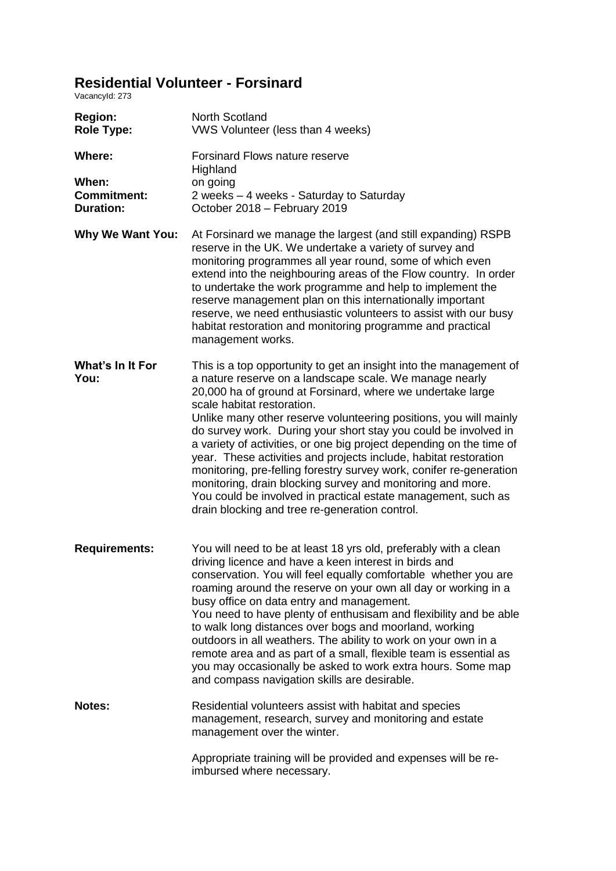## **Residential Volunteer - Forsinard**

VacancyId: 273

| <b>Region:</b><br><b>Role Type:</b>             | North Scotland<br>VWS Volunteer (less than 4 weeks)                                                                                                                                                                                                                                                                                                                                                                                                                                                                                                                                                                                                                                                                                                                   |
|-------------------------------------------------|-----------------------------------------------------------------------------------------------------------------------------------------------------------------------------------------------------------------------------------------------------------------------------------------------------------------------------------------------------------------------------------------------------------------------------------------------------------------------------------------------------------------------------------------------------------------------------------------------------------------------------------------------------------------------------------------------------------------------------------------------------------------------|
| <b>Where:</b>                                   | <b>Forsinard Flows nature reserve</b><br>Highland                                                                                                                                                                                                                                                                                                                                                                                                                                                                                                                                                                                                                                                                                                                     |
| When:<br><b>Commitment:</b><br><b>Duration:</b> | on going<br>2 weeks - 4 weeks - Saturday to Saturday<br>October 2018 - February 2019                                                                                                                                                                                                                                                                                                                                                                                                                                                                                                                                                                                                                                                                                  |
| <b>Why We Want You:</b>                         | At Forsinard we manage the largest (and still expanding) RSPB<br>reserve in the UK. We undertake a variety of survey and<br>monitoring programmes all year round, some of which even<br>extend into the neighbouring areas of the Flow country. In order<br>to undertake the work programme and help to implement the<br>reserve management plan on this internationally important<br>reserve, we need enthusiastic volunteers to assist with our busy<br>habitat restoration and monitoring programme and practical<br>management works.                                                                                                                                                                                                                             |
| What's In It For<br>You:                        | This is a top opportunity to get an insight into the management of<br>a nature reserve on a landscape scale. We manage nearly<br>20,000 ha of ground at Forsinard, where we undertake large<br>scale habitat restoration.<br>Unlike many other reserve volunteering positions, you will mainly<br>do survey work. During your short stay you could be involved in<br>a variety of activities, or one big project depending on the time of<br>year. These activities and projects include, habitat restoration<br>monitoring, pre-felling forestry survey work, conifer re-generation<br>monitoring, drain blocking survey and monitoring and more.<br>You could be involved in practical estate management, such as<br>drain blocking and tree re-generation control. |
| <b>Requirements:</b>                            | You will need to be at least 18 yrs old, preferably with a clean<br>driving licence and have a keen interest in birds and<br>conservation. You will feel equally comfortable whether you are<br>roaming around the reserve on your own all day or working in a<br>busy office on data entry and management.<br>You need to have plenty of enthusisam and flexibility and be able<br>to walk long distances over bogs and moorland, working<br>outdoors in all weathers. The ability to work on your own in a<br>remote area and as part of a small, flexible team is essential as<br>you may occasionally be asked to work extra hours. Some map<br>and compass navigation skills are desirable.                                                                      |
| Notes:                                          | Residential volunteers assist with habitat and species<br>management, research, survey and monitoring and estate<br>management over the winter.                                                                                                                                                                                                                                                                                                                                                                                                                                                                                                                                                                                                                       |
|                                                 | Appropriate training will be provided and expenses will be re-<br>imbursed where necessary.                                                                                                                                                                                                                                                                                                                                                                                                                                                                                                                                                                                                                                                                           |